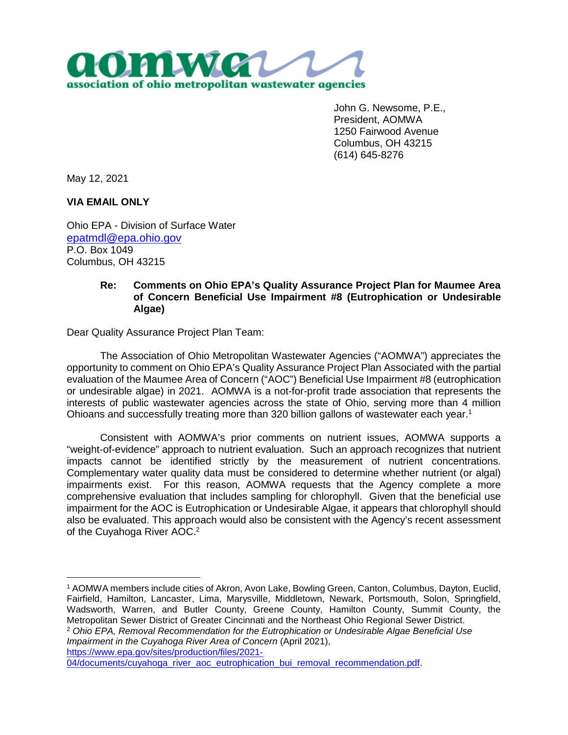

John G. Newsome, P.E., President, AOMWA 1250 Fairwood Avenue Columbus, OH 43215 (614) 645-8276

May 12, 2021

**VIA EMAIL ONLY**

Ohio EPA - Division of Surface Water epatmdl@epa.ohio.gov P.O. Box 1049 Columbus, OH 43215

## **Re: Comments on Ohio EPA's Quality Assurance Project Plan for Maumee Area of Concern Beneficial Use Impairment #8 (Eutrophication or Undesirable Algae)**

Dear Quality Assurance Project Plan Team:

The Association of Ohio Metropolitan Wastewater Agencies ("AOMWA") appreciates the opportunity to comment on Ohio EPA's Quality Assurance Project Plan Associated with the partial evaluation of the Maumee Area of Concern ("AOC") Beneficial Use Impairment #8 (eutrophication or undesirable algae) in 2021. AOMWA is a not-for-profit trade association that represents the interests of public wastewater agencies across the state of Ohio, serving more than 4 million Ohioans and successfully treating more than 320 billion gallons of wastewater each year.<sup>1</sup>

Consistent with AOMWA's prior comments on nutrient issues, AOMWA supports a "weight-of-evidence" approach to nutrient evaluation. Such an approach recognizes that nutrient impacts cannot be identified strictly by the measurement of nutrient concentrations. Complementary water quality data must be considered to determine whether nutrient (or algal) impairments exist. For this reason, AOMWA requests that the Agency complete a more comprehensive evaluation that includes sampling for chlorophyll. Given that the beneficial use impairment for the AOC is Eutrophication or Undesirable Algae, it appears that chlorophyll should also be evaluated. This approach would also be consistent with the Agency's recent assessment of the Cuyahoga River AOC.<sup>2</sup>

<sup>2</sup> *Ohio EPA, Removal Recommendation for the Eutrophication or Undesirable Algae Beneficial Use Impairment in the Cuyahoga River Area of Concern* (April 2021),

https://www.epa.gov/sites/production/files/2021-

<sup>1</sup> AOMWA members include cities of Akron, Avon Lake, Bowling Green, Canton, Columbus, Dayton, Euclid, Fairfield, Hamilton, Lancaster, Lima, Marysville, Middletown, Newark, Portsmouth, Solon, Springfield, Wadsworth, Warren, and Butler County, Greene County, Hamilton County, Summit County, the Metropolitan Sewer District of Greater Cincinnati and the Northeast Ohio Regional Sewer District.

<sup>04/</sup>documents/cuyahoga\_river\_aoc\_eutrophication\_bui\_removal\_recommendation.pdf.